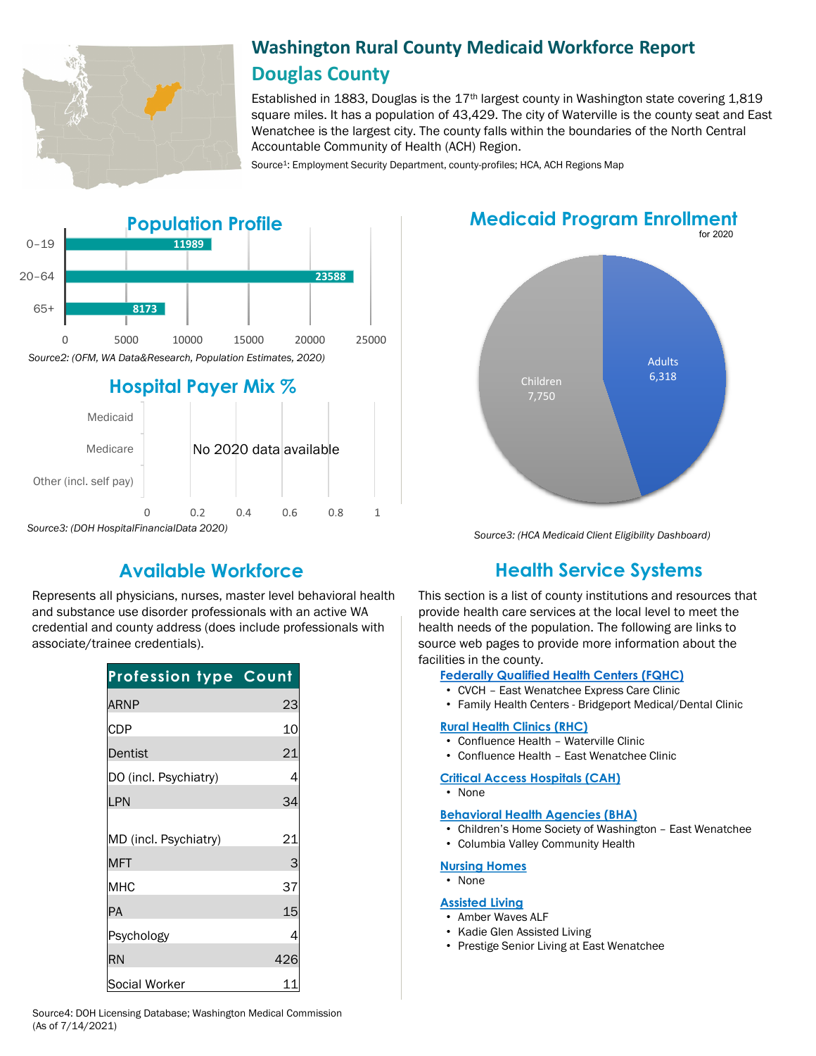

# **Washington Rural County Medicaid Workforce Report Douglas County**

Established in 1883, Douglas is the  $17<sup>th</sup>$  largest county in Washington state covering 1,819 square miles. It has a population of 43,429. The city of Waterville is the county seat and East Wenatchee is the largest city. The county falls within the boundaries of the North Central Accountable Community of Health (ACH) Region.

Source<sup>1</sup>: Employment Security Department, county-profiles; HCA, ACH Regions Map



*Source3: (DOH HospitalFinancialData 2020)*

Represents all physicians, nurses, master level behavioral health and substance use disorder professionals with an active WA credential and county address (does include professionals with associate/trainee credentials).

| <b>Profession type Count</b>        |         |
|-------------------------------------|---------|
| <b>ARNP</b>                         | 23      |
| <b>CDP</b>                          | 10      |
| Dentist                             | 21      |
| DO (incl. Psychiatry)               | 4       |
| LPN                                 | 34      |
| MD (incl. Psychiatry)<br><b>MFT</b> | 21<br>З |
| MHC                                 | 37      |
| PA                                  | 15      |
| Psychology                          | 4       |
| <b>RN</b>                           | 426     |
| Social Worker                       | 11      |





*Source3: (HCA Medicaid Client Eligibility Dashboard)*

# **Available Workforce Health Service Systems**

This section is a list of county institutions and resources that provide health care services at the local level to meet the health needs of the population. The following are links to source web pages to provide more information about the facilities in the county.

### **[Federally Qualified Health Centers \(FQHC\)](https://www.doh.wa.gov/ForPublicHealthandHealthcareProviders/RuralHealth/PrimaryCareOffice)**

- CVCH East Wenatchee Express Care Clinic
- Family Health Centers Bridgeport Medical/Dental Clinic

#### **[Rural Health Clinics \(RHC\)](https://www.doh.wa.gov/ForPublicHealthandHealthcareProviders/RuralHealth/RuralHealthSystems)**

- Confluence Health Waterville Clinic
- Confluence Health East Wenatchee Clinic

#### **[Critical Access Hospitals \(CAH\)](https://www.doh.wa.gov/ForPublicHealthandHealthcareProviders/RuralHealth/RuralHealthSystems)**

• None

#### **[Behavioral Health Agencies \(BHA\)](https://www.doh.wa.gov/LicensesPermitsandCertificates/ProviderCredentialSearch)**

- Children's Home Society of Washington East Wenatchee
- Columbia Valley Community Health

### **[Nursing Homes](https://fortress.wa.gov/dshs/adsaapps/lookup/NHPubLookup.aspx)**

• None

#### **[Assisted Living](https://fortress.wa.gov/dshs/adsaapps/lookup/BHPubLookup.aspx)**

- Amber Waves ALF
- Kadie Glen Assisted Living
- Prestige Senior Living at East Wenatchee